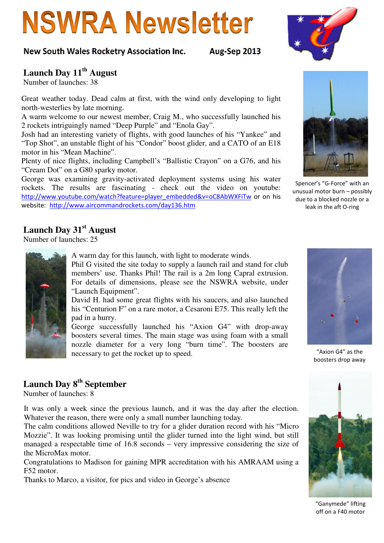# **NSWRA Newsletter**

#### New South Wales Rocketry Association Inc. Aug-Sep 2013

#### **Launch Day 11th August**

Number of launches: 38

Great weather today. Dead calm at first, with the wind only developing to light north-westerlies by late morning.

A warm welcome to our newest member, Craig M., who successfully launched his 2 rockets intriguingly named "Deep Purple" and "Enola Gay".

Josh had an interesting variety of flights, with good launches of his "Yankee" and "Top Shot", an unstable flight of his "Condor" boost glider, and a CATO of an E18 motor in his "Mean Machine".

Plenty of nice flights, including Campbell's "Ballistic Crayon" on a G76, and his "Cream Dot" on a G80 sparky motor.

George was examining gravity-activated deployment systems using his water rockets. The results are fascinating - check out the video on youtube: http://www.youtube.com/watch?feature=player\_embedded&v=oC8AbWXFiTw or on his website: http://www.aircommandrockets.com/day136.htm

#### **Launch Day 31st August**

Number of launches: 25



A warm day for this launch, with light to moderate winds.

Phil G visited the site today to supply a launch rail and stand for club members' use. Thanks Phil! The rail is a 2m long Capral extrusion. For details of dimensions, please see the NSWRA website, under "Launch Equipment".

David H. had some great flights with his saucers, and also launched his "Centurion F" on a rare motor, a Cesaroni E75. This really left the pad in a hurry.

George successfully launched his "Axion G4" with drop-away boosters several times. The main stage was using foam with a small nozzle diameter for a very long "burn time". The boosters are necessary to get the rocket up to speed.

#### **Launch Day 8th September**

Number of launches: 8

It was only a week since the previous launch, and it was the day after the election. Whatever the reason, there were only a small number launching today.

The calm conditions allowed Neville to try for a glider duration record with his "Micro Mozzie". It was looking promising until the glider turned into the light wind, but still managed a respectable time of 16.8 seconds – very impressive considering the size of the MicroMax motor.

Congratulations to Madison for gaining MPR accreditation with his AMRAAM using a F52 motor.

Thanks to Marco, a visitor, for pics and video in George's absence



Spencer's "G-Force" with an unusual motor burn – possibly due to a blocked nozzle or a leak in the aft O-ring



"Axion G4" as the boosters drop away



"Ganymede" lifting off on a F40 motor